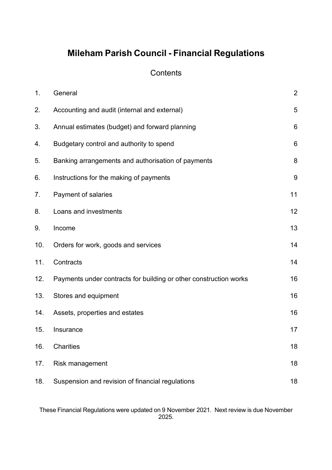# **Mileham Parish Council - Financial Regulations**

# **Contents**

| 1 <sub>1</sub> | General                                                           | $\overline{2}$  |
|----------------|-------------------------------------------------------------------|-----------------|
| 2.             | Accounting and audit (internal and external)                      | 5               |
| 3.             | Annual estimates (budget) and forward planning                    | $6\phantom{1}6$ |
| 4.             | Budgetary control and authority to spend                          | $6\phantom{1}6$ |
| 5.             | Banking arrangements and authorisation of payments                | 8               |
| 6.             | Instructions for the making of payments                           | $9\,$           |
| 7.             | Payment of salaries                                               | 11              |
| 8.             | Loans and investments                                             | 12              |
| 9.             | Income                                                            | 13              |
| 10.            | Orders for work, goods and services                               | 14              |
| 11.            | Contracts                                                         | 14              |
| 12.            | Payments under contracts for building or other construction works | 16              |
| 13.            | Stores and equipment                                              | 16              |
| 14.            | Assets, properties and estates                                    | 16              |
| 15.            | Insurance                                                         | 17              |
| 16.            | Charities                                                         | 18              |
| 17.            | Risk management                                                   | 18              |
| 18.            | Suspension and revision of financial regulations                  | 18              |

These Financial Regulations were updated on 9 November 2021. Next review is due November 2025.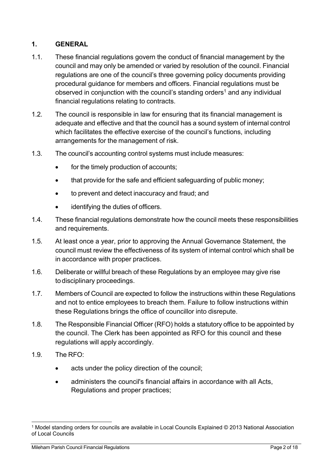# <span id="page-1-0"></span>**1. GENERAL**

- 1.1. These financial regulations govern the conduct of financial management by the council and may only be amended or varied by resolution of the council. Financial regulations are one of the council's three governing policy documents providing procedural guidance for members and officers. Financial regulations must be observed in conjunction with the council's standing orders<sup>1</sup> and any individual financial regulations relating to contracts.
- 1.2. The council is responsible in law for ensuring that its financial management is adequate and effective and that the council has a sound system of internal control which facilitates the effective exercise of the council's functions, including arrangements for the management of risk.
- 1.3. The council's accounting control systems must include measures:
	- for the timely production of accounts;
	- that provide for the safe and efficient safeguarding of public money;
	- to prevent and detect inaccuracy and fraud; and
	- identifying the duties of officers.
- 1.4. These financial regulations demonstrate how the council meets these responsibilities and requirements.
- 1.5. At least once a year, prior to approving the Annual Governance Statement, the council must review the effectiveness of its system of internal control which shall be in accordance with proper practices.
- 1.6. Deliberate or willful breach of these Regulations by an employee may give rise to disciplinary proceedings.
- 1.7. Members of Council are expected to follow the instructions within these Regulations and not to entice employees to breach them. Failure to follow instructions within these Regulations brings the office of councillor into disrepute.
- 1.8. The Responsible Financial Officer (RFO) holds a statutory office to be appointed by the council. The Clerk has been appointed as RFO for this council and these regulations will apply accordingly.
- 1.9. The RFO:
	- acts under the policy direction of the council;
	- administers the council's financial affairs in accordance with all Acts, Regulations and proper practices;

<sup>1</sup> Model standing orders for councils are available in Local Councils Explained © 2013 National Association of Local Councils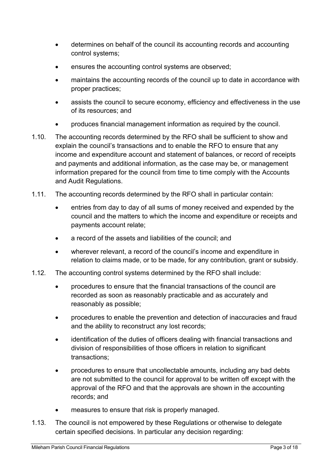- determines on behalf of the council its accounting records and accounting control systems;
- ensures the accounting control systems are observed;
- maintains the accounting records of the council up to date in accordance with proper practices;
- assists the council to secure economy, efficiency and effectiveness in the use of its resources; and
- produces financial management information as required by the council.
- 1.10. The accounting records determined by the RFO shall be sufficient to show and explain the council's transactions and to enable the RFO to ensure that any income and expenditure account and statement of balances, or record of receipts and payments and additional information, as the case may be, or management information prepared for the council from time to time comply with the Accounts and Audit Regulations.
- 1.11. The accounting records determined by the RFO shall in particular contain:
	- entries from day to day of all sums of money received and expended by the council and the matters to which the income and expenditure or receipts and payments account relate;
	- a record of the assets and liabilities of the council; and
	- wherever relevant, a record of the council's income and expenditure in relation to claims made, or to be made, for any contribution, grant or subsidy.
- 1.12. The accounting control systems determined by the RFO shall include:
	- procedures to ensure that the financial transactions of the council are recorded as soon as reasonably practicable and as accurately and reasonably as possible;
	- procedures to enable the prevention and detection of inaccuracies and fraud and the ability to reconstruct any lost records;
	- identification of the duties of officers dealing with financial transactions and division of responsibilities of those officers in relation to significant transactions;
	- procedures to ensure that uncollectable amounts, including any bad debts are not submitted to the council for approval to be written off except with the approval of the RFO and that the approvals are shown in the accounting records; and
	- measures to ensure that risk is properly managed.
- 1.13. The council is not empowered by these Regulations or otherwise to delegate certain specified decisions. In particular any decision regarding: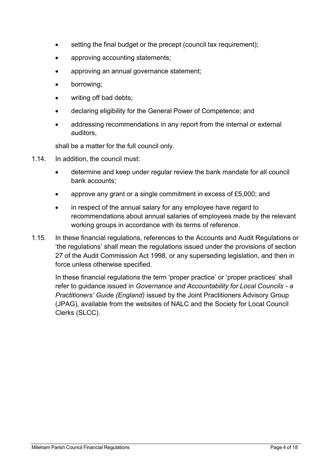- setting the final budget or the precept (council tax requirement);
- approving accounting statements;
- approving an annual governance statement;
- borrowing;
- writing off bad debts;
- declaring eligibility for the General Power of Competence; and
- addressing recommendations in any report from the internal or external auditors,

shall be a matter for the full council only.

- 1.14. In addition, the council must:
	- determine and keep under regular review the bank mandate for all council bank accounts;
	- approve any grant or a single commitment in excess of £5,000; and
	- in respect of the annual salary for any employee have regard to recommendations about annual salaries of employees made by the relevant working groups in accordance with its terms of reference.
- 1.15. In these financial regulations, references to the Accounts and Audit Regulations or 'the regulations' shall mean the regulations issued under the provisions of section 27 of the Audit Commission Act 1998, or any superseding legislation, and then in force unless otherwise specified.

In these financial regulations the term 'proper practice' or 'proper practices' shall refer to guidance issued in *Governance and Accountability for Local Councils - a Practitioners' Guide (England)* issued by the Joint Practitioners Advisory Group (JPAG), available from the websites of NALC and the Society for Local Council Clerks (SLCC).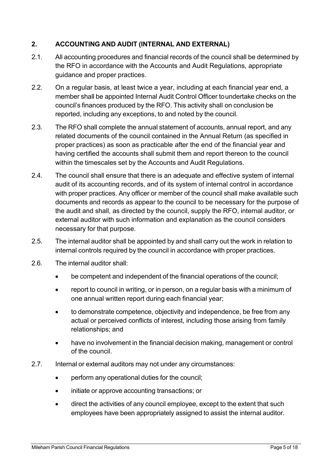# <span id="page-4-0"></span>**2. ACCOUNTING AND AUDIT (INTERNAL AND EXTERNAL)**

- 2.1. All accounting procedures and financial records of the council shall be determined by the RFO in accordance with the Accounts and Audit Regulations, appropriate guidance and proper practices.
- 2.2. On a regular basis, at least twice a year, including at each financial year end, a member shall be appointed Internal Audit Control Officer to undertake checks on the council's finances produced by the RFO. This activity shall on conclusion be reported, including any exceptions, to and noted by the council.
- 2.3. The RFO shall complete the annual statement of accounts, annual report, and any related documents of the council contained in the Annual Return (as specified in proper practices) as soon as practicable after the end of the financial year and having certified the accounts shall submit them and report thereon to the council within the timescales set by the Accounts and Audit Regulations.
- 2.4. The council shall ensure that there is an adequate and effective system of internal audit of its accounting records, and of its system of internal control in accordance with proper practices. Any officer or member of the council shall make available such documents and records as appear to the council to be necessary for the purpose of the audit and shall, as directed by the council, supply the RFO, internal auditor, or external auditor with such information and explanation as the council considers necessary for that purpose.
- 2.5. The internal auditor shall be appointed by and shall carry out the work in relation to internal controls required by the council in accordance with proper practices.
- 2.6. The internal auditor shall:
	- be competent and independent of the financial operations of the council;
	- report to council in writing, or in person, on a regular basis with a minimum of one annual written report during each financial year;
	- to demonstrate competence, objectivity and independence, be free from any actual or perceived conflicts of interest, including those arising from family relationships; and
	- have no involvement in the financial decision making, management or control of the council.
- 2.7. Internal or external auditors may not under any circumstances:
	- perform any operational duties for the council;
	- initiate or approve accounting transactions; or
	- direct the activities of any council employee, except to the extent that such employees have been appropriately assigned to assist the internal auditor.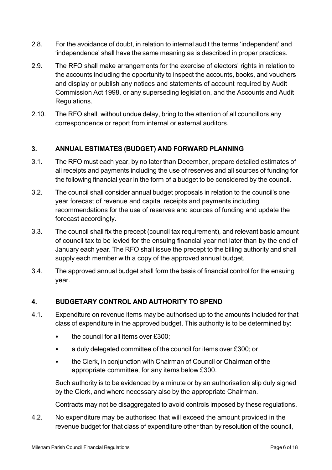- 2.8. For the avoidance of doubt, in relation to internal audit the terms 'independent' and 'independence' shall have the same meaning as is described in proper practices.
- 2.9. The RFO shall make arrangements for the exercise of electors' rights in relation to the accounts including the opportunity to inspect the accounts, books, and vouchers and display or publish any notices and statements of account required by Audit Commission Act 1998, or any superseding legislation, and the Accounts and Audit Regulations.
- 2.10. The RFO shall, without undue delay, bring to the attention of all councillors any correspondence or report from internal or external auditors.

# <span id="page-5-0"></span>**3. ANNUAL ESTIMATES (BUDGET) AND FORWARD PLANNING**

- 3.1. The RFO must each year, by no later than December, prepare detailed estimates of all receipts and payments including the use of reserves and all sources of funding for the following financial year in the form of a budget to be considered by the council.
- 3.2. The council shall consider annual budget proposals in relation to the council's one year forecast of revenue and capital receipts and payments including recommendations for the use of reserves and sources of funding and update the forecast accordingly.
- 3.3. The council shall fix the precept (council tax requirement), and relevant basic amount of council tax to be levied for the ensuing financial year not later than by the end of January each year. The RFO shall issue the precept to the billing authority and shall supply each member with a copy of the approved annual budget.
- 3.4. The approved annual budget shall form the basis of financial control for the ensuing year.

# <span id="page-5-1"></span>**4. BUDGETARY CONTROL AND AUTHORITY TO SPEND**

- 4.1. Expenditure on revenue items may be authorised up to the amounts included for that class of expenditure in the approved budget. This authority is to be determined by:
	- the council for all items over £300;
	- a duly delegated committee of the council for items over £300; or
	- the Clerk, in conjunction with Chairman of Council or Chairman of the appropriate committee, for any items below £300.

Such authority is to be evidenced by a minute or by an authorisation slip duly signed by the Clerk, and where necessary also by the appropriate Chairman.

Contracts may not be disaggregated to avoid controls imposed by these regulations.

4.2. No expenditure may be authorised that will exceed the amount provided in the revenue budget for that class of expenditure other than by resolution of the council,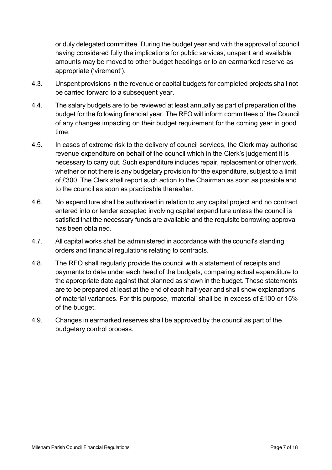or duly delegated committee. During the budget year and with the approval of council having considered fully the implications for public services, unspent and available amounts may be moved to other budget headings or to an earmarked reserve as appropriate ('virement').

- 4.3. Unspent provisions in the revenue or capital budgets for completed projects shall not be carried forward to a subsequent year.
- 4.4. The salary budgets are to be reviewed at least annually as part of preparation of the budget for the following financial year. The RFO will inform committees of the Council of any changes impacting on their budget requirement for the coming year in good time.
- 4.5. In cases of extreme risk to the delivery of council services, the Clerk may authorise revenue expenditure on behalf of the council which in the Clerk's judgement it is necessary to carry out. Such expenditure includes repair, replacement or other work, whether or not there is any budgetary provision for the expenditure, subject to a limit of £300. The Clerk shall report such action to the Chairman as soon as possible and to the council as soon as practicable thereafter.
- 4.6. No expenditure shall be authorised in relation to any capital project and no contract entered into or tender accepted involving capital expenditure unless the council is satisfied that the necessary funds are available and the requisite borrowing approval has been obtained.
- 4.7. All capital works shall be administered in accordance with the council's standing orders and financial regulations relating to contracts.
- 4.8. The RFO shall regularly provide the council with a statement of receipts and payments to date under each head of the budgets, comparing actual expenditure to the appropriate date against that planned as shown in the budget. These statements are to be prepared at least at the end of each half-year and shall show explanations of material variances. For this purpose, 'material' shall be in excess of £100 or 15% of the budget.
- 4.9. Changes in earmarked reserves shall be approved by the council as part of the budgetary control process.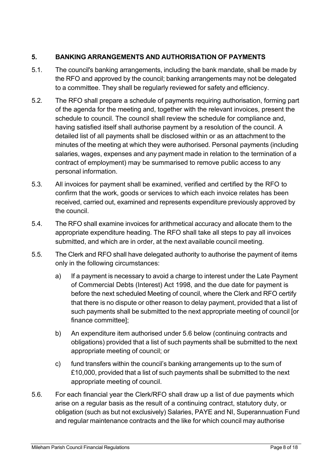# <span id="page-7-0"></span>**5. BANKING ARRANGEMENTS AND AUTHORISATION OF PAYMENTS**

- 5.1. The council's banking arrangements, including the bank mandate, shall be made by the RFO and approved by the council; banking arrangements may not be delegated to a committee. They shall be regularly reviewed for safety and efficiency.
- 5.2. The RFO shall prepare a schedule of payments requiring authorisation, forming part of the agenda for the meeting and, together with the relevant invoices, present the schedule to council. The council shall review the schedule for compliance and, having satisfied itself shall authorise payment by a resolution of the council. A detailed list of all payments shall be disclosed within or as an attachment to the minutes of the meeting at which they were authorised. Personal payments (including salaries, wages, expenses and any payment made in relation to the termination of a contract of employment) may be summarised to remove public access to any personal information.
- 5.3. All invoices for payment shall be examined, verified and certified by the RFO to confirm that the work, goods or services to which each invoice relates has been received, carried out, examined and represents expenditure previously approved by the council.
- 5.4. The RFO shall examine invoices for arithmetical accuracy and allocate them to the appropriate expenditure heading. The RFO shall take all steps to pay all invoices submitted, and which are in order, at the next available council meeting.
- 5.5. The Clerk and RFO shall have delegated authority to authorise the payment of items only in the following circumstances:
	- a) If a payment is necessary to avoid a charge to interest under the Late Payment of Commercial Debts (Interest) Act 1998, and the due date for payment is before the next scheduled Meeting of council, where the Clerk and RFO certify that there is no dispute or other reason to delay payment, provided that a list of such payments shall be submitted to the next appropriate meeting of council [or finance committee];
	- b) An expenditure item authorised under 5.6 below (continuing contracts and obligations) provided that a list of such payments shall be submitted to the next appropriate meeting of council; or
	- c) fund transfers within the council's banking arrangements up to the sum of £10,000, provided that a list of such payments shall be submitted to the next appropriate meeting of council.
- 5.6. For each financial year the Clerk/RFO shall draw up a list of due payments which arise on a regular basis as the result of a continuing contract, statutory duty, or obligation (such as but not exclusively) Salaries, PAYE and NI, Superannuation Fund and regular maintenance contracts and the like for which council may authorise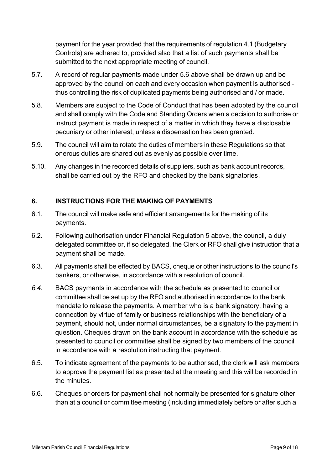payment for the year provided that the requirements of regulation 4.1 (Budgetary Controls) are adhered to, provided also that a list of such payments shall be submitted to the next appropriate meeting of council.

- 5.7. A record of regular payments made under 5.6 above shall be drawn up and be approved by the council on each and every occasion when payment is authorised thus controlling the risk of duplicated payments being authorised and / or made.
- 5.8. Members are subject to the Code of Conduct that has been adopted by the council and shall comply with the Code and Standing Orders when a decision to authorise or instruct payment is made in respect of a matter in which they have a disclosable pecuniary or other interest, unless a dispensation has been granted.
- 5.9. The council will aim to rotate the duties of members in these Regulations so that onerous duties are shared out as evenly as possible over time.
- 5.10. Any changes in the recorded details of suppliers, such as bank account records, shall be carried out by the RFO and checked by the bank signatories.

# <span id="page-8-0"></span>**6. INSTRUCTIONS FOR THE MAKING OF PAYMENTS**

- 6.1. The council will make safe and efficient arrangements for the making of its payments.
- 6.2. Following authorisation under Financial Regulation 5 above, the council, a duly delegated committee or, if so delegated, the Clerk or RFO shall give instruction that a payment shall be made.
- 6.3. All payments shall be effected by BACS, cheque or other instructions to the council's bankers, or otherwise, in accordance with a resolution of council.
- *6.4.* BACS payments in accordance with the schedule as presented to council or committee shall be set up by the RFO and authorised in accordance to the bank mandate to release the payments. A member who is a bank signatory, having a connection by virtue of family or business relationships with the beneficiary of a payment, should not, under normal circumstances, be a signatory to the payment in question. Cheques drawn on the bank account in accordance with the schedule as presented to council or committee shall be signed by two members of the council in accordance with a resolution instructing that payment*.*
- 6.5. To indicate agreement of the payments to be authorised, the clerk will ask members to approve the payment list as presented at the meeting and this will be recorded in the minutes.
- 6.6. Cheques or orders for payment shall not normally be presented for signature other than at a council or committee meeting (including immediately before or after such a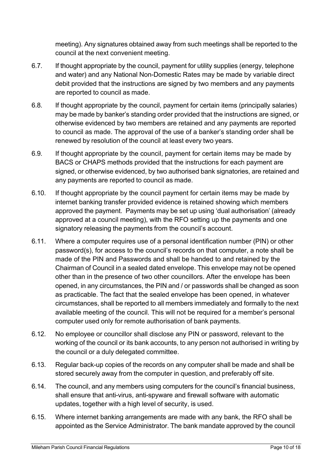meeting). Any signatures obtained away from such meetings shall be reported to the council at the next convenient meeting.

- 6.7. If thought appropriate by the council, payment for utility supplies (energy, telephone and water) and any National Non-Domestic Rates may be made by variable direct debit provided that the instructions are signed by two members and any payments are reported to council as made.
- 6.8. If thought appropriate by the council, payment for certain items (principally salaries) may be made by banker's standing order provided that the instructions are signed, or otherwise evidenced by two members are retained and any payments are reported to council as made. The approval of the use of a banker's standing order shall be renewed by resolution of the council at least every two years.
- 6.9. If thought appropriate by the council, payment for certain items may be made by BACS or CHAPS methods provided that the instructions for each payment are signed, or otherwise evidenced, by two authorised bank signatories, are retained and any payments are reported to council as made.
- 6.10. If thought appropriate by the council payment for certain items may be made by internet banking transfer provided evidence is retained showing which members approved the payment. Payments may be set up using 'dual authorisation' (already approved at a council meeting), with the RFO setting up the payments and one signatory releasing the payments from the council's account.
- 6.11. Where a computer requires use of a personal identification number (PIN) or other password(s), for access to the council's records on that computer, a note shall be made of the PIN and Passwords and shall be handed to and retained by the Chairman of Council in a sealed dated envelope. This envelope may not be opened other than in the presence of two other councillors. After the envelope has been opened, in any circumstances, the PIN and / or passwords shall be changed as soon as practicable. The fact that the sealed envelope has been opened, in whatever circumstances, shall be reported to all members immediately and formally to the next available meeting of the council. This will not be required for a member's personal computer used only for remote authorisation of bank payments.
- 6.12. No employee or councillor shall disclose any PIN or password, relevant to the working of the council or its bank accounts, to any person not authorised in writing by the council or a duly delegated committee.
- 6.13. Regular back-up copies of the records on any computer shall be made and shall be stored securely away from the computer in question, and preferably off site.
- 6.14. The council, and any members using computers for the council's financial business, shall ensure that anti-virus, anti-spyware and firewall software with automatic updates, together with a high level of security, is used.
- 6.15. Where internet banking arrangements are made with any bank, the RFO shall be appointed as the Service Administrator. The bank mandate approved by the council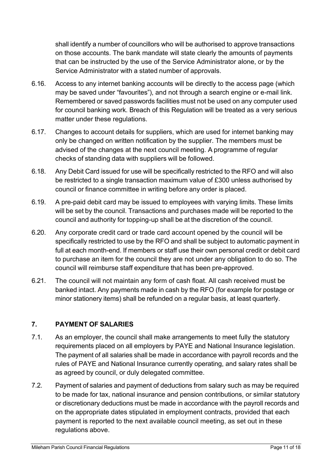shall identify a number of councillors who will be authorised to approve transactions on those accounts. The bank mandate will state clearly the amounts of payments that can be instructed by the use of the Service Administrator alone, or by the Service Administrator with a stated number of approvals.

- 6.16. Access to any internet banking accounts will be directly to the access page (which may be saved under "favourites"), and not through a search engine or e-mail link. Remembered or saved passwords facilities must not be used on any computer used for council banking work. Breach of this Regulation will be treated as a very serious matter under these regulations.
- 6.17. Changes to account details for suppliers, which are used for internet banking may only be changed on written notification by the supplier. The members must be advised of the changes at the next council meeting. A programme of regular checks of standing data with suppliers will be followed.
- 6.18. Any Debit Card issued for use will be specifically restricted to the RFO and will also be restricted to a single transaction maximum value of £300 unless authorised by council or finance committee in writing before any order is placed.
- 6.19. A pre-paid debit card may be issued to employees with varying limits. These limits will be set by the council. Transactions and purchases made will be reported to the council and authority for topping-up shall be at the discretion of the council.
- 6.20. Any corporate credit card or trade card account opened by the council will be specifically restricted to use by the RFO and shall be subject to automatic payment in full at each month-end. If members or staff use their own personal credit or debit card to purchase an item for the council they are not under any obligation to do so. The council will reimburse staff expenditure that has been pre-approved.
- 6.21. The council will not maintain any form of cash float. All cash received must be banked intact. Any payments made in cash by the RFO (for example for postage or minor stationery items) shall be refunded on a regular basis, at least quarterly.

# <span id="page-10-0"></span>**7. PAYMENT OF SALARIES**

- 7.1. As an employer, the council shall make arrangements to meet fully the statutory requirements placed on all employers by PAYE and National Insurance legislation. The payment of all salaries shall be made in accordance with payroll records and the rules of PAYE and National Insurance currently operating, and salary rates shall be as agreed by council, or duly delegated committee.
- 7.2. Payment of salaries and payment of deductions from salary such as may be required to be made for tax, national insurance and pension contributions, or similar statutory or discretionary deductions must be made in accordance with the payroll records and on the appropriate dates stipulated in employment contracts, provided that each payment is reported to the next available council meeting, as set out in these regulations above.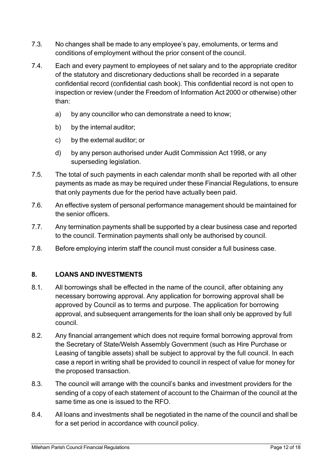- 7.3. No changes shall be made to any employee's pay, emoluments, or terms and conditions of employment without the prior consent of the council.
- 7.4. Each and every payment to employees of net salary and to the appropriate creditor of the statutory and discretionary deductions shall be recorded in a separate confidential record (confidential cash book). This confidential record is not open to inspection or review (under the Freedom of Information Act 2000 or otherwise) other than:
	- a) by any councillor who can demonstrate a need to know;
	- b) by the internal auditor;
	- c) by the external auditor; or
	- d) by any person authorised under Audit Commission Act 1998, or any superseding legislation.
- 7.5. The total of such payments in each calendar month shall be reported with all other payments as made as may be required under these Financial Regulations, to ensure that only payments due for the period have actually been paid.
- 7.6. An effective system of personal performance management should be maintained for the senior officers.
- 7.7. Any termination payments shall be supported by a clear business case and reported to the council. Termination payments shall only be authorised by council.
- 7.8. Before employing interim staff the council must consider a full business case.

# <span id="page-11-0"></span>**8. LOANS AND INVESTMENTS**

- 8.1. All borrowings shall be effected in the name of the council, after obtaining any necessary borrowing approval. Any application for borrowing approval shall be approved by Council as to terms and purpose. The application for borrowing approval, and subsequent arrangements for the loan shall only be approved by full council.
- 8.2. Any financial arrangement which does not require formal borrowing approval from the Secretary of State/Welsh Assembly Government (such as Hire Purchase or Leasing of tangible assets) shall be subject to approval by the full council. In each case a report in writing shall be provided to council in respect of value for money for the proposed transaction.
- 8.3. The council will arrange with the council's banks and investment providers for the sending of a copy of each statement of account to the Chairman of the council at the same time as one is issued to the RFO.
- 8.4. All loans and investments shall be negotiated in the name of the council and shall be for a set period in accordance with council policy.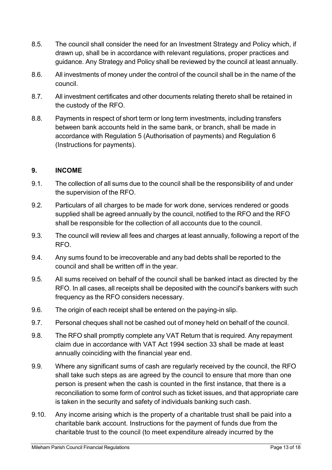- 8.5. The council shall consider the need for an Investment Strategy and Policy which, if drawn up, shall be in accordance with relevant regulations, proper practices and guidance. Any Strategy and Policy shall be reviewed by the council at least annually.
- 8.6. All investments of money under the control of the council shall be in the name of the council.
- 8.7. All investment certificates and other documents relating thereto shall be retained in the custody of the RFO.
- 8.8. Payments in respect of short term or long term investments, including transfers between bank accounts held in the same bank, or branch, shall be made in accordance with Regulation 5 (Authorisation of payments) and Regulation 6 (Instructions for payments).

#### <span id="page-12-0"></span>**9. INCOME**

- 9.1. The collection of all sums due to the council shall be the responsibility of and under the supervision of the RFO.
- 9.2. Particulars of all charges to be made for work done, services rendered or goods supplied shall be agreed annually by the council, notified to the RFO and the RFO shall be responsible for the collection of all accounts due to the council.
- 9.3. The council will review all fees and charges at least annually, following a report of the RFO.
- 9.4. Any sums found to be irrecoverable and any bad debts shall be reported to the council and shall be written off in the year.
- 9.5. All sums received on behalf of the council shall be banked intact as directed by the RFO. In all cases, all receipts shall be deposited with the council's bankers with such frequency as the RFO considers necessary.
- 9.6. The origin of each receipt shall be entered on the paying-in slip.
- 9.7. Personal cheques shall not be cashed out of money held on behalf of the council.
- 9.8. The RFO shall promptly complete any VAT Return that is required. Any repayment claim due in accordance with VAT Act 1994 section 33 shall be made at least annually coinciding with the financial year end.
- 9.9. Where any significant sums of cash are regularly received by the council, the RFO shall take such steps as are agreed by the council to ensure that more than one person is present when the cash is counted in the first instance, that there is a reconciliation to some form of control such as ticket issues, and that appropriate care is taken in the security and safety of individuals banking such cash.
- 9.10. Any income arising which is the property of a charitable trust shall be paid into a charitable bank account. Instructions for the payment of funds due from the charitable trust to the council (to meet expenditure already incurred by the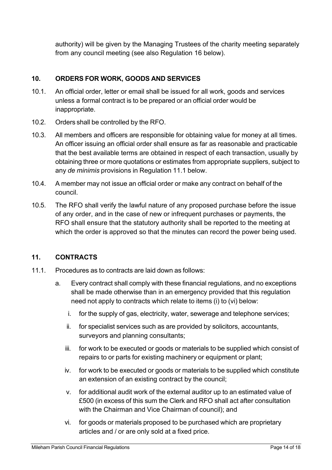authority) will be given by the Managing Trustees of the charity meeting separately from any council meeting (see also Regulation 16 below).

# <span id="page-13-0"></span>**10. ORDERS FOR WORK, GOODS AND SERVICES**

- 10.1. An official order, letter or email shall be issued for all work, goods and services unless a formal contract is to be prepared or an official order would be inappropriate.
- 10.2. Orders shall be controlled by the RFO.
- 10.3. All members and officers are responsible for obtaining value for money at all times. An officer issuing an official order shall ensure as far as reasonable and practicable that the best available terms are obtained in respect of each transaction, usually by obtaining three or more quotations or estimates from appropriate suppliers, subject to any *de minimis* provisions in Regulation 11.1 below.
- 10.4. A member may not issue an official order or make any contract on behalf of the council.
- 10.5. The RFO shall verify the lawful nature of any proposed purchase before the issue of any order, and in the case of new or infrequent purchases or payments, the RFO shall ensure that the statutory authority shall be reported to the meeting at which the order is approved so that the minutes can record the power being used.

# <span id="page-13-1"></span>**11. CONTRACTS**

- 11.1. Procedures as to contracts are laid down as follows:
	- a. Every contract shall comply with these financial regulations, and no exceptions shall be made otherwise than in an emergency provided that this regulation need not apply to contracts which relate to items (i) to (vi) below:
		- i. for the supply of gas, electricity, water, sewerage and telephone services;
		- ii. for specialist services such as are provided by solicitors, accountants, surveyors and planning consultants;
		- iii. for work to be executed or goods or materials to be supplied which consist of repairs to or parts for existing machinery or equipment or plant;
		- iv. for work to be executed or goods or materials to be supplied which constitute an extension of an existing contract by the council;
		- v. for additional audit work of the external auditor up to an estimated value of £500 (in excess of this sum the Clerk and RFO shall act after consultation with the Chairman and Vice Chairman of council); and
		- vi. for goods or materials proposed to be purchased which are proprietary articles and / or are only sold at a fixed price.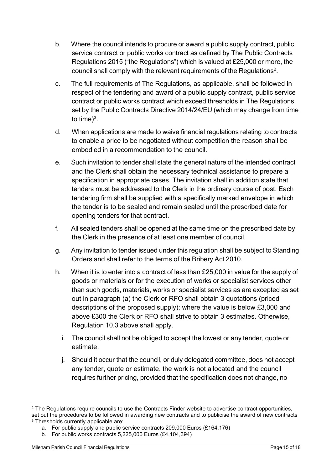- b. Where the council intends to procure or award a public supply contract, public service contract or public works contract as defined by The Public Contracts Regulations 2015 ("the Regulations") which is valued at £25,000 or more, the council shall comply with the relevant requirements of the Regulations $^2\!$ .
- c. The full requirements of The Regulations, as applicable, shall be followed in respect of the tendering and award of a public supply contract, public service contract or public works contract which exceed thresholds in The Regulations set by the Public Contracts Directive 2014/24/EU (which may change from time to time)<sup>3</sup>.
- d. When applications are made to waive financial regulations relating to contracts to enable a price to be negotiated without competition the reason shall be embodied in a recommendation to the council.
- e. Such invitation to tender shall state the general nature of the intended contract and the Clerk shall obtain the necessary technical assistance to prepare a specification in appropriate cases. The invitation shall in addition state that tenders must be addressed to the Clerk in the ordinary course of post. Each tendering firm shall be supplied with a specifically marked envelope in which the tender is to be sealed and remain sealed until the prescribed date for opening tenders for that contract.
- f. All sealed tenders shall be opened at the same time on the prescribed date by the Clerk in the presence of at least one member of council.
- g. Any invitation to tender issued under this regulation shall be subject to Standing Orders and shall refer to the terms of the Bribery Act 2010.
- h. When it is to enter into a contract of less than £25,000 in value for the supply of goods or materials or for the execution of works or specialist services other than such goods, materials, works or specialist services as are excepted as set out in paragraph (a) the Clerk or RFO shall obtain 3 quotations (priced descriptions of the proposed supply); where the value is below £3,000 and above £300 the Clerk or RFO shall strive to obtain 3 estimates. Otherwise, Regulation 10.3 above shall apply.
	- i. The council shall not be obliged to accept the lowest or any tender, quote or estimate.
	- j. Should it occur that the council, or duly delegated committee, does not accept any tender, quote or estimate, the work is not allocated and the council requires further pricing, provided that the specification does not change, no

<sup>&</sup>lt;sup>2</sup> The Regulations require councils to use the Contracts Finder website to advertise contract opportunities, set out the procedures to be followed in awarding new contracts and to publicise the award of new contracts <sup>3</sup> Thresholds currently applicable are:

a. For public supply and public service contracts 209,000 Euros (£164,176)

b. For public works contracts 5,225,000 Euros (£4,104,394)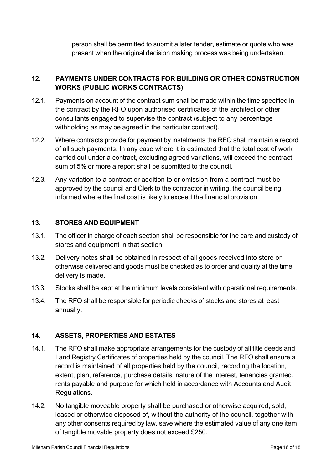person shall be permitted to submit a later tender, estimate or quote who was present when the original decision making process was being undertaken.

## **12. PAYMENTS UNDER CONTRACTS FOR BUILDING OR OTHER CONSTRUCTION WORKS (PUBLIC WORKS CONTRACTS)**

- 12.1. Payments on account of the contract sum shall be made within the time specified in the contract by the RFO upon authorised certificates of the architect or other consultants engaged to supervise the contract (subject to any percentage withholding as may be agreed in the particular contract).
- 12.2. Where contracts provide for payment by instalments the RFO shall maintain a record of all such payments. In any case where it is estimated that the total cost of work carried out under a contract, excluding agreed variations, will exceed the contract sum of 5% or more a report shall be submitted to the council.
- 12.3. Any variation to a contract or addition to or omission from a contract must be approved by the council and Clerk to the contractor in writing, the council being informed where the final cost is likely to exceed the financial provision.

#### <span id="page-15-0"></span>**13. STORES AND EQUIPMENT**

- 13.1. The officer in charge of each section shall be responsible for the care and custody of stores and equipment in that section.
- 13.2. Delivery notes shall be obtained in respect of all goods received into store or otherwise delivered and goods must be checked as to order and quality at the time delivery is made.
- 13.3. Stocks shall be kept at the minimum levels consistent with operational requirements.
- 13.4. The RFO shall be responsible for periodic checks of stocks and stores at least annually.

# <span id="page-15-1"></span>**14. ASSETS, PROPERTIES AND ESTATES**

- 14.1. The RFO shall make appropriate arrangements for the custody of all title deeds and Land Registry Certificates of properties held by the council. The RFO shall ensure a record is maintained of all properties held by the council, recording the location, extent, plan, reference, purchase details, nature of the interest, tenancies granted, rents payable and purpose for which held in accordance with Accounts and Audit Regulations.
- 14.2. No tangible moveable property shall be purchased or otherwise acquired, sold, leased or otherwise disposed of, without the authority of the council, together with any other consents required by law, save where the estimated value of any one item of tangible movable property does not exceed £250.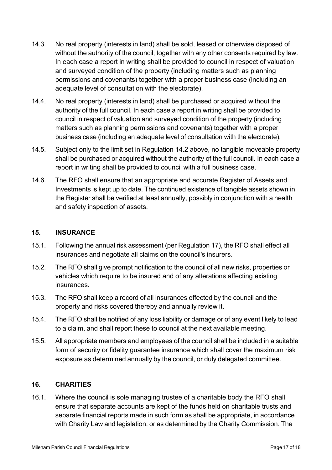- 14.3. No real property (interests in land) shall be sold, leased or otherwise disposed of without the authority of the council, together with any other consents required by law. In each case a report in writing shall be provided to council in respect of valuation and surveyed condition of the property (including matters such as planning permissions and covenants) together with a proper business case (including an adequate level of consultation with the electorate).
- 14.4. No real property (interests in land) shall be purchased or acquired without the authority of the full council. In each case a report in writing shall be provided to council in respect of valuation and surveyed condition of the property (including matters such as planning permissions and covenants) together with a proper business case (including an adequate level of consultation with the electorate).
- 14.5. Subject only to the limit set in Regulation 14.2 above, no tangible moveable property shall be purchased or acquired without the authority of the full council. In each case a report in writing shall be provided to council with a full business case.
- 14.6. The RFO shall ensure that an appropriate and accurate Register of Assets and Investments is kept up to date. The continued existence of tangible assets shown in the Register shall be verified at least annually, possibly in conjunction with a health and safety inspection of assets.

#### <span id="page-16-0"></span>**15. INSURANCE**

- 15.1. Following the annual risk assessment (per Regulation 17), the RFO shall effect all insurances and negotiate all claims on the council's insurers.
- 15.2. The RFO shall give prompt notification to the council of all new risks, properties or vehicles which require to be insured and of any alterations affecting existing insurances.
- 15.3. The RFO shall keep a record of all insurances effected by the council and the property and risks covered thereby and annually review it.
- 15.4. The RFO shall be notified of any loss liability or damage or of any event likely to lead to a claim, and shall report these to council at the next available meeting.
- 15.5. All appropriate members and employees of the council shall be included in a suitable form of security or fidelity guarantee insurance which shall cover the maximum risk exposure as determined annually by the council, or duly delegated committee.

# <span id="page-16-1"></span>**16. CHARITIES**

16.1. Where the council is sole managing trustee of a charitable body the RFO shall ensure that separate accounts are kept of the funds held on charitable trusts and separate financial reports made in such form as shall be appropriate, in accordance with Charity Law and legislation, or as determined by the Charity Commission. The